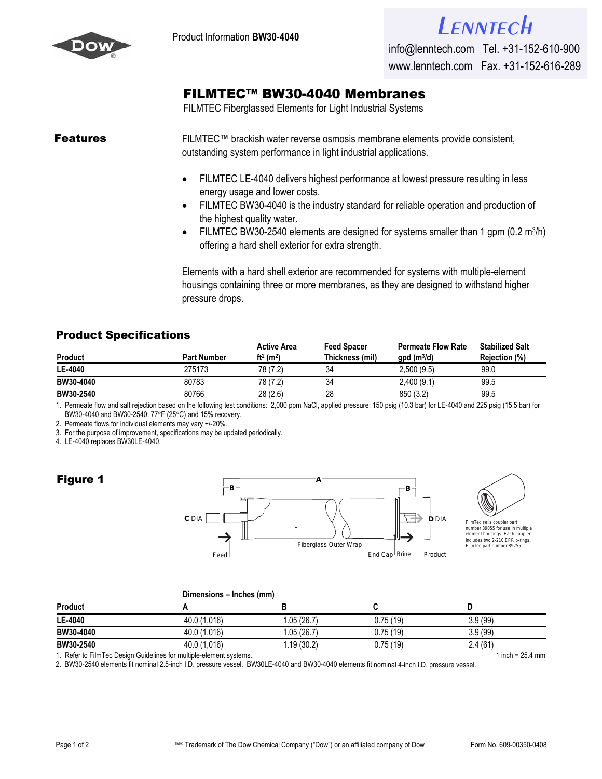



## [FILMTEC™ BW30-4040 Mem](http://www.lenntech.com/feedback/feedback_uk.htm?ref_title=Filmtec/Dow-Filmtec-BW30-4040.pdf)branes

FILMTEC Fiberglassed Elements for Light Industrial Systems

**Features** FILMTEC™ brackish water reverse osmosis membrane elements provide consistent, outstanding system performance in light industrial applications.

- FILMTEC LE-4040 delivers highest performance at lowest pressure resulting in less energy usage and lower costs.
- FILMTEC BW30-4040 is the industry standard for reliable operation and production of the highest quality water.
- FILMTEC BW30-2540 elements are designed for systems smaller than 1 gpm  $(0.2 \text{ m}^3/\text{h})$ offering a hard shell exterior for extra strength.

Elements with a hard shell exterior are recommended for systems with multiple-element housings containing three or more membranes, as they are designed to withstand higher pressure drops.

## Product Specifications

| <b>Product</b> | <b>Part Number</b> | <b>Active Area</b><br>ft <sup>2</sup> (m <sup>2</sup> ) | <b>Feed Spacer</b><br>Thickness (mil) | <b>Permeate Flow Rate</b><br>$gpd(m^3/d)$ | <b>Stabilized Salt</b><br>Rejection (%) |
|----------------|--------------------|---------------------------------------------------------|---------------------------------------|-------------------------------------------|-----------------------------------------|
| LE-4040        | 275173             | 78 (7.2)                                                | 34                                    | 2.500(9.5)                                | 99.0                                    |
| BW30-4040      | 80783              | 78 (7.2)                                                | 34                                    | 2,400(9.1)                                | 99.5                                    |
| BW30-2540      | 80766              | 28(2.6)                                                 | 28                                    | 850 (3.2)                                 | 99.5                                    |

1. Permeate flow and salt rejection based on the following test conditions: 2,000 ppm NaCl, applied pressure: 150 psig (10.3 bar) for LE-4040 and 225 psig (15.5 bar) for BW30-4040 and BW30-2540, 77°F (25°C) and 15% recovery.

2. Permeate flows for individual elements may vary +/-20%.

3. For the purpose of improvement, specifications may be updated periodically.

4. LE-4040 replaces BW30LE-4040.

## Figure 1





FilmTec sells coupler part<br>number 89055 for use in multiple number 89055 for use in multiple element housings. Each coupler includes two 2-210 EPR o-rings, FilmTec part number 89255.

|                | Dimensions – Inches (mm) |             |           |         |  |  |
|----------------|--------------------------|-------------|-----------|---------|--|--|
| <b>Product</b> |                          |             |           |         |  |  |
| LE-4040        | 40.0 (1,016)             | 1.05 (26.7) | 0.75 (19) | 3.9(99) |  |  |
| BW30-4040      | 40.0 (1.016)             | 1.05 (26.7) | 0.75(19)  | 3.9(99) |  |  |
| BW30-2540      | 40.0 (1,016)             | .19(30.2)   | 0.75 (19) | 2.4(61) |  |  |
|                |                          |             |           |         |  |  |

1. Refer to FilmTec Design Guidelines for multiple-element systems. 1 inch = 25.4 mm

2. BW30-2540 elements fit nominal 2.5-inch I.D. pressure vessel. BW30LE-4040 and BW30-4040 elements fit nominal 4-inch I.D. pressure vessel.